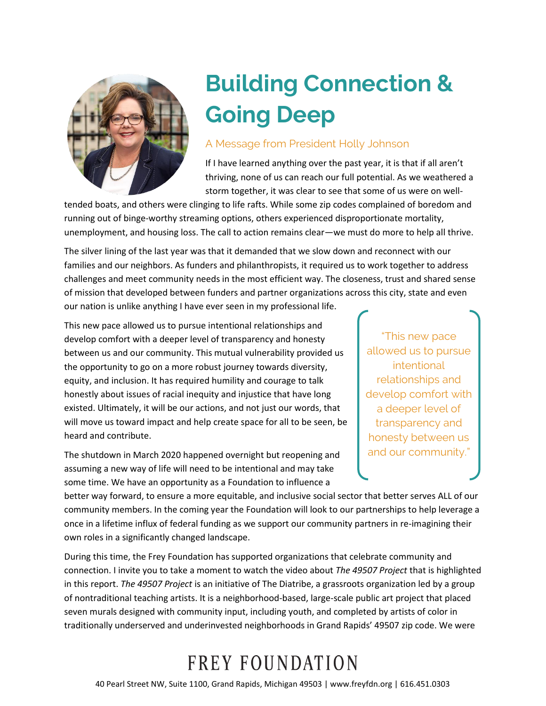

## **Building Connection & Going Deep**

## A Message from President Holly Johnson

If I have learned anything over the past year, it is that if all aren't thriving, none of us can reach our full potential. As we weathered a storm together, it was clear to see that some of us were on well-

tended boats, and others were clinging to life rafts. While some zip codes complained of boredom and running out of binge-worthy streaming options, others experienced disproportionate mortality, unemployment, and housing loss. The call to action remains clear—we must do more to help all thrive.

The silver lining of the last year was that it demanded that we slow down and reconnect with our families and our neighbors. As funders and philanthropists, it required us to work together to address challenges and meet community needs in the most efficient way. The closeness, trust and shared sense of mission that developed between funders and partner organizations across this city, state and even our nation is unlike anything I have ever seen in my professional life.

This new pace allowed us to pursue intentional relationships and develop comfort with a deeper level of transparency and honesty between us and our community. This mutual vulnerability provided us the opportunity to go on a more robust journey towards diversity, equity, and inclusion. It has required humility and courage to talk honestly about issues of racial inequity and injustice that have long existed. Ultimately, it will be our actions, and not just our words, that will move us toward impact and help create space for all to be seen, be heard and contribute.

The shutdown in March 2020 happened overnight but reopening and assuming a new way of life will need to be intentional and may take some time. We have an opportunity as a Foundation to influence a

"This new pace allowed us to pursue intentional relationships and develop comfort with a deeper level of transparency and honesty between us and our community."

better way forward, to ensure a more equitable, and inclusive social sector that better serves ALL of our community members. In the coming year the Foundation will look to our partnerships to help leverage a once in a lifetime influx of federal funding as we support our community partners in re-imagining their own roles in a significantly changed landscape.

During this time, the Frey Foundation has supported organizations that celebrate community and connection. I invite you to take a moment to watch the video about *The 49507 Project* that is highlighted in this report. *The 49507 Project* is an initiative of The Diatribe, a grassroots organization led by a group of nontraditional teaching artists. It is a neighborhood-based, large-scale public art project that placed seven murals designed with community input, including youth, and completed by artists of color in traditionally underserved and underinvested neighborhoods in Grand Rapids' 49507 zip code. We were

## FREY FOUNDATION

40 Pearl Street NW, Suite 1100, Grand Rapids, Michigan 49503 | www.freyfdn.org | 616.451.0303